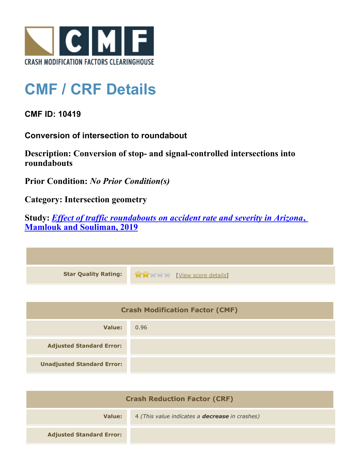

## **CMF / CRF Details**

**CMF ID: 10419**

**Conversion of intersection to roundabout**

**Description: Conversion of stop- and signal-controlled intersections into roundabouts**

**Prior Condition:** *No Prior Condition(s)*

**Category: Intersection geometry**

**Study:** *[Effect of traffic roundabouts on accident rate and severity in Arizona](http://www.cmfclearinghouse.org/study_detail.cfm?stid=604)***[,](http://www.cmfclearinghouse.org/study_detail.cfm?stid=604) [Mamlouk and Souliman, 2019](http://www.cmfclearinghouse.org/study_detail.cfm?stid=604)**

| Star Quality Rating: 1999 [View score details] |
|------------------------------------------------|

| <b>Crash Modification Factor (CMF)</b> |      |
|----------------------------------------|------|
| Value:                                 | 0.96 |
| <b>Adjusted Standard Error:</b>        |      |
| <b>Unadjusted Standard Error:</b>      |      |

| <b>Crash Reduction Factor (CRF)</b> |                                                       |
|-------------------------------------|-------------------------------------------------------|
| Value:                              | 4 (This value indicates a <b>decrease</b> in crashes) |
| <b>Adjusted Standard Error:</b>     |                                                       |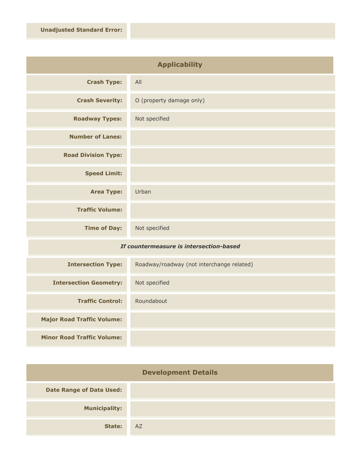| <b>Applicability</b>       |                          |
|----------------------------|--------------------------|
| <b>Crash Type:</b>         | All                      |
| <b>Crash Severity:</b>     | O (property damage only) |
| <b>Roadway Types:</b>      | Not specified            |
| <b>Number of Lanes:</b>    |                          |
| <b>Road Division Type:</b> |                          |
| <b>Speed Limit:</b>        |                          |
| <b>Area Type:</b>          | Urban                    |
| <b>Traffic Volume:</b>     |                          |
| <b>Time of Day:</b>        | Not specified            |

## *If countermeasure is intersection-based*

| <b>Intersection Type:</b>         | Roadway/roadway (not interchange related) |
|-----------------------------------|-------------------------------------------|
| <b>Intersection Geometry:</b>     | Not specified                             |
| <b>Traffic Control:</b>           | Roundabout                                |
| <b>Major Road Traffic Volume:</b> |                                           |
| <b>Minor Road Traffic Volume:</b> |                                           |

| <b>Development Details</b>      |    |
|---------------------------------|----|
| <b>Date Range of Data Used:</b> |    |
| <b>Municipality:</b>            |    |
| State:                          | AZ |